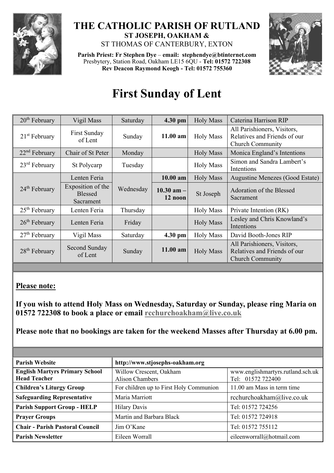

## **THE CATHOLIC PARISH OF RUTLAND ST JOSEPH, OAKHAM &**  ST THOMAS OF CANTERBURY, EXTON

**Parish Priest: Fr Stephen Dye** – **[email: stephendye@btinternet.com](mailto:email:%20%20stephendye@btinternet.com)** Presbytery, Station Road, Oakham LE15 6QU - **Tel: 01572 722308 Rev Deacon Raymond Keogh - Tel: 01572 755360**



## **First Sunday of Lent**

| 20 <sup>th</sup> February | Vigil Mass                                       | Saturday  | 4.30 pm                   | <b>Holy Mass</b> | Caterina Harrison RIP                                                                  |
|---------------------------|--------------------------------------------------|-----------|---------------------------|------------------|----------------------------------------------------------------------------------------|
| $21st$ February           | <b>First Sunday</b><br>of Lent                   | Sunday    | $11.00$ am                | <b>Holy Mass</b> | All Parishioners, Visitors,<br>Relatives and Friends of our<br><b>Church Community</b> |
| $22nd$ February           | Chair of St Peter                                | Monday    |                           | <b>Holy Mass</b> | Monica England's Intentions                                                            |
| $23rd$ February           | St Polycarp                                      | Tuesday   |                           | <b>Holy Mass</b> | Simon and Sandra Lambert's<br>Intentions                                               |
| $24th$ February           | Lenten Feria                                     | Wednesday | $10.00$ am                | <b>Holy Mass</b> | Augustine Menezes (Good Estate)                                                        |
|                           | Exposition of the<br><b>Blessed</b><br>Sacrament |           | $10.30$ am $-$<br>12 noon | St Joseph        | Adoration of the Blessed<br>Sacrament                                                  |
| $25th$ February           | Lenten Feria                                     | Thursday  |                           | <b>Holy Mass</b> | Private Intention (RK)                                                                 |
| $26th$ February           | Lenten Feria                                     | Friday    |                           | <b>Holy Mass</b> | Lesley and Chris Knowland's<br>Intentions                                              |
| $27th$ February           | Vigil Mass                                       | Saturday  | 4.30 pm                   | <b>Holy Mass</b> | David Booth-Jones RIP                                                                  |
| $28th$ February           | Second Sunday<br>of Lent                         | Sunday    | $11.00$ am                | <b>Holy Mass</b> | All Parishioners, Visitors,<br>Relatives and Friends of our<br><b>Church Community</b> |

## **Please note:**

**If you wish to attend Holy Mass on Wednesday, Saturday or Sunday, please ring Maria on 01572 722308 to book a place or email [rcchurchoakham@live.co.uk](mailto:rcchurchoakham@live.co.uk)**

**Please note that no bookings are taken for the weekend Masses after Thursday at 6.00 pm.**

| <b>Parish Website</b>                                        | http://www.stjosephs-oakham.org            |                                                        |
|--------------------------------------------------------------|--------------------------------------------|--------------------------------------------------------|
| <b>English Martyrs Primary School</b><br><b>Head Teacher</b> | Willow Crescent, Oakham<br>Alison Chambers | www.englishmartyrs.rutland.sch.uk<br>Tel: 01572 722400 |
| <b>Children's Liturgy Group</b>                              | For children up to First Holy Communion    | 11.00 am Mass in term time                             |
| <b>Safeguarding Representative</b>                           | Maria Marriott                             | rcchurchoakham@live.co.uk                              |
| <b>Parish Support Group - HELP</b>                           | <b>Hilary Davis</b>                        | Tel: 01572 724256                                      |
| <b>Prayer Groups</b>                                         | Martin and Barbara Black                   | Tel: 01572 724918                                      |
| <b>Chair - Parish Pastoral Council</b>                       | Jim O'Kane                                 | Tel: 01572 755112                                      |
| <b>Parish Newsletter</b>                                     | Eileen Worrall                             | eileenworrall@hotmail.com                              |